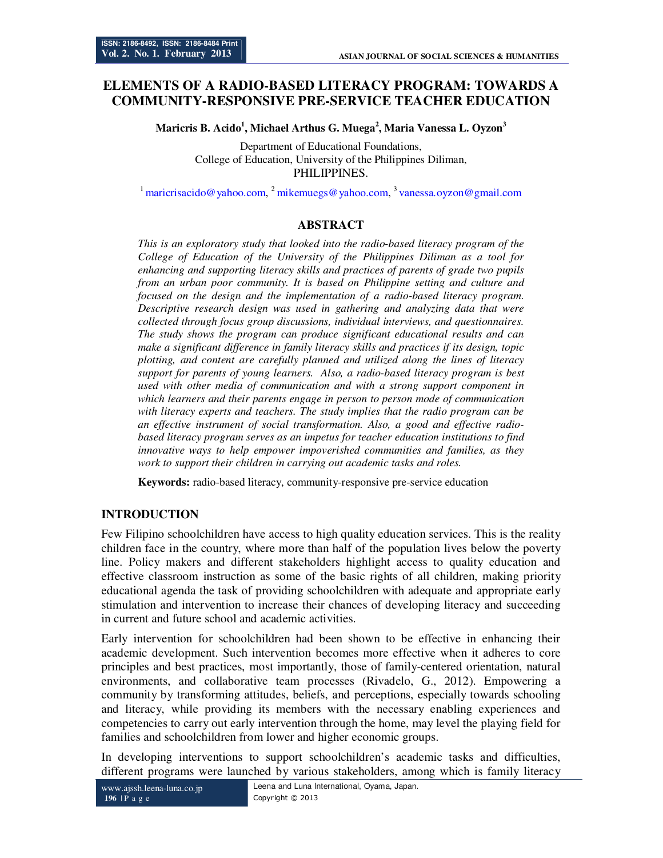# **ELEMENTS OF A RADIO-BASED LITERACY PROGRAM: TOWARDS A COMMUNITY-RESPONSIVE PRE-SERVICE TEACHER EDUCATION**

**Maricris B. Acido<sup>1</sup> , Michael Arthus G. Muega<sup>2</sup> , Maria Vanessa L. Oyzon<sup>3</sup>**

Department of Educational Foundations, College of Education, University of the Philippines Diliman, PHILIPPINES.

<sup>1</sup> maricrisacido@yahoo.com, <sup>2</sup> mikemuegs@yahoo.com, <sup>3</sup> vanessa.oyzon@gmail.com

#### **ABSTRACT**

*This is an exploratory study that looked into the radio-based literacy program of the College of Education of the University of the Philippines Diliman as a tool for enhancing and supporting literacy skills and practices of parents of grade two pupils from an urban poor community. It is based on Philippine setting and culture and focused on the design and the implementation of a radio-based literacy program. Descriptive research design was used in gathering and analyzing data that were collected through focus group discussions, individual interviews, and questionnaires. The study shows the program can produce significant educational results and can make a significant difference in family literacy skills and practices if its design, topic plotting, and content are carefully planned and utilized along the lines of literacy support for parents of young learners. Also, a radio-based literacy program is best used with other media of communication and with a strong support component in which learners and their parents engage in person to person mode of communication with literacy experts and teachers. The study implies that the radio program can be an effective instrument of social transformation. Also, a good and effective radiobased literacy program serves as an impetus for teacher education institutions to find innovative ways to help empower impoverished communities and families, as they work to support their children in carrying out academic tasks and roles.* 

**Keywords:** radio-based literacy, community-responsive pre-service education

## **INTRODUCTION**

Few Filipino schoolchildren have access to high quality education services. This is the reality children face in the country, where more than half of the population lives below the poverty line. Policy makers and different stakeholders highlight access to quality education and effective classroom instruction as some of the basic rights of all children, making priority educational agenda the task of providing schoolchildren with adequate and appropriate early stimulation and intervention to increase their chances of developing literacy and succeeding in current and future school and academic activities.

Early intervention for schoolchildren had been shown to be effective in enhancing their academic development. Such intervention becomes more effective when it adheres to core principles and best practices, most importantly, those of family-centered orientation, natural environments, and collaborative team processes (Rivadelo, G., 2012). Empowering a community by transforming attitudes, beliefs, and perceptions, especially towards schooling and literacy, while providing its members with the necessary enabling experiences and competencies to carry out early intervention through the home, may level the playing field for families and schoolchildren from lower and higher economic groups.

In developing interventions to support schoolchildren's academic tasks and difficulties, different programs were launched by various stakeholders, among which is family literacy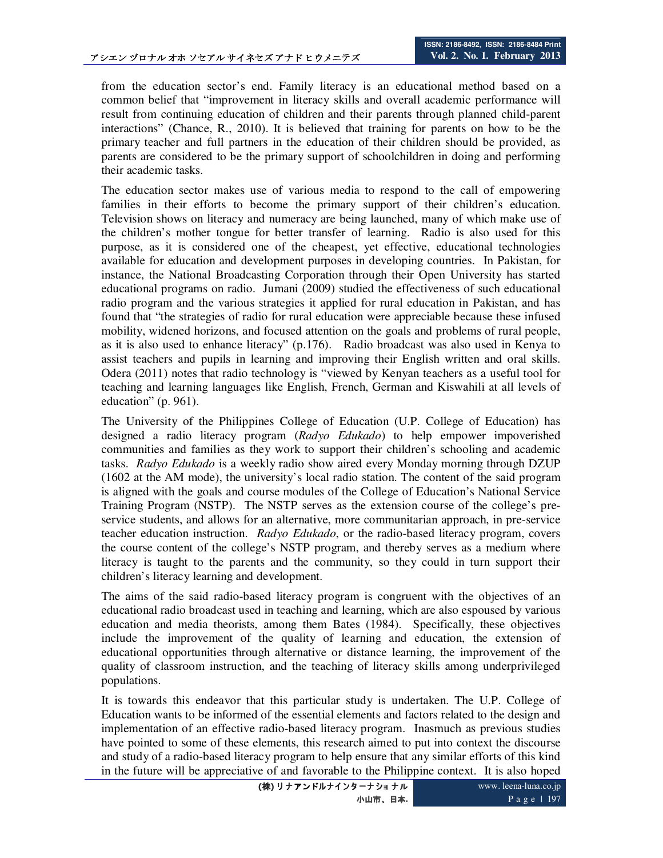from the education sector's end. Family literacy is an educational method based on a common belief that "improvement in literacy skills and overall academic performance will result from continuing education of children and their parents through planned child-parent interactions" (Chance, R., 2010). It is believed that training for parents on how to be the primary teacher and full partners in the education of their children should be provided, as parents are considered to be the primary support of schoolchildren in doing and performing their academic tasks.

The education sector makes use of various media to respond to the call of empowering families in their efforts to become the primary support of their children's education. Television shows on literacy and numeracy are being launched, many of which make use of the children's mother tongue for better transfer of learning. Radio is also used for this purpose, as it is considered one of the cheapest, yet effective, educational technologies available for education and development purposes in developing countries. In Pakistan, for instance, the National Broadcasting Corporation through their Open University has started educational programs on radio. Jumani (2009) studied the effectiveness of such educational radio program and the various strategies it applied for rural education in Pakistan, and has found that "the strategies of radio for rural education were appreciable because these infused mobility, widened horizons, and focused attention on the goals and problems of rural people, as it is also used to enhance literacy" (p.176). Radio broadcast was also used in Kenya to assist teachers and pupils in learning and improving their English written and oral skills. Odera (2011) notes that radio technology is "viewed by Kenyan teachers as a useful tool for teaching and learning languages like English, French, German and Kiswahili at all levels of education" (p. 961).

The University of the Philippines College of Education (U.P. College of Education) has designed a radio literacy program (*Radyo Edukado*) to help empower impoverished communities and families as they work to support their children's schooling and academic tasks. *Radyo Edukado* is a weekly radio show aired every Monday morning through DZUP (1602 at the AM mode), the university's local radio station. The content of the said program is aligned with the goals and course modules of the College of Education's National Service Training Program (NSTP). The NSTP serves as the extension course of the college's preservice students, and allows for an alternative, more communitarian approach, in pre-service teacher education instruction. *Radyo Edukado*, or the radio-based literacy program, covers the course content of the college's NSTP program, and thereby serves as a medium where literacy is taught to the parents and the community, so they could in turn support their children's literacy learning and development.

The aims of the said radio-based literacy program is congruent with the objectives of an educational radio broadcast used in teaching and learning, which are also espoused by various education and media theorists, among them Bates (1984). Specifically, these objectives include the improvement of the quality of learning and education, the extension of educational opportunities through alternative or distance learning, the improvement of the quality of classroom instruction, and the teaching of literacy skills among underprivileged populations.

It is towards this endeavor that this particular study is undertaken. The U.P. College of Education wants to be informed of the essential elements and factors related to the design and implementation of an effective radio-based literacy program. Inasmuch as previous studies have pointed to some of these elements, this research aimed to put into context the discourse and study of a radio-based literacy program to help ensure that any similar efforts of this kind in the future will be appreciative of and favorable to the Philippine context. It is also hoped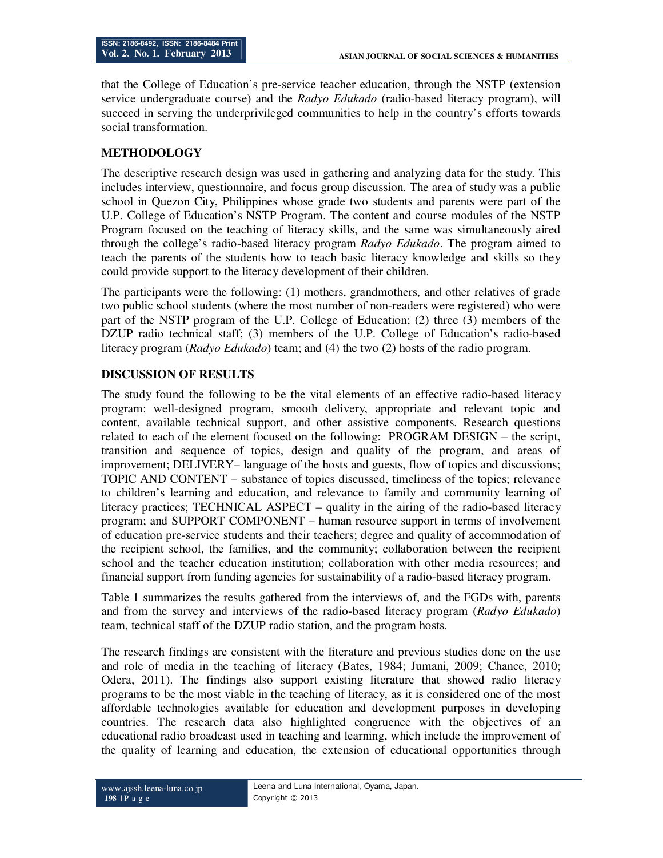that the College of Education's pre-service teacher education, through the NSTP (extension service undergraduate course) and the *Radyo Edukado* (radio-based literacy program), will succeed in serving the underprivileged communities to help in the country's efforts towards social transformation.

#### **METHODOLOGY**

The descriptive research design was used in gathering and analyzing data for the study. This includes interview, questionnaire, and focus group discussion. The area of study was a public school in Quezon City, Philippines whose grade two students and parents were part of the U.P. College of Education's NSTP Program. The content and course modules of the NSTP Program focused on the teaching of literacy skills, and the same was simultaneously aired through the college's radio-based literacy program *Radyo Edukado*. The program aimed to teach the parents of the students how to teach basic literacy knowledge and skills so they could provide support to the literacy development of their children.

The participants were the following: (1) mothers, grandmothers, and other relatives of grade two public school students (where the most number of non-readers were registered) who were part of the NSTP program of the U.P. College of Education; (2) three (3) members of the DZUP radio technical staff; (3) members of the U.P. College of Education's radio-based literacy program (*Radyo Edukado*) team; and (4) the two (2) hosts of the radio program.

## **DISCUSSION OF RESULTS**

The study found the following to be the vital elements of an effective radio-based literacy program: well-designed program, smooth delivery, appropriate and relevant topic and content, available technical support, and other assistive components. Research questions related to each of the element focused on the following: PROGRAM DESIGN – the script, transition and sequence of topics, design and quality of the program, and areas of improvement; DELIVERY– language of the hosts and guests, flow of topics and discussions; TOPIC AND CONTENT – substance of topics discussed, timeliness of the topics; relevance to children's learning and education, and relevance to family and community learning of literacy practices; TECHNICAL ASPECT – quality in the airing of the radio-based literacy program; and SUPPORT COMPONENT – human resource support in terms of involvement of education pre-service students and their teachers; degree and quality of accommodation of the recipient school, the families, and the community; collaboration between the recipient school and the teacher education institution; collaboration with other media resources; and financial support from funding agencies for sustainability of a radio-based literacy program.

Table 1 summarizes the results gathered from the interviews of, and the FGDs with, parents and from the survey and interviews of the radio-based literacy program (*Radyo Edukado*) team, technical staff of the DZUP radio station, and the program hosts.

The research findings are consistent with the literature and previous studies done on the use and role of media in the teaching of literacy (Bates, 1984; Jumani, 2009; Chance, 2010; Odera, 2011). The findings also support existing literature that showed radio literacy programs to be the most viable in the teaching of literacy, as it is considered one of the most affordable technologies available for education and development purposes in developing countries. The research data also highlighted congruence with the objectives of an educational radio broadcast used in teaching and learning, which include the improvement of the quality of learning and education, the extension of educational opportunities through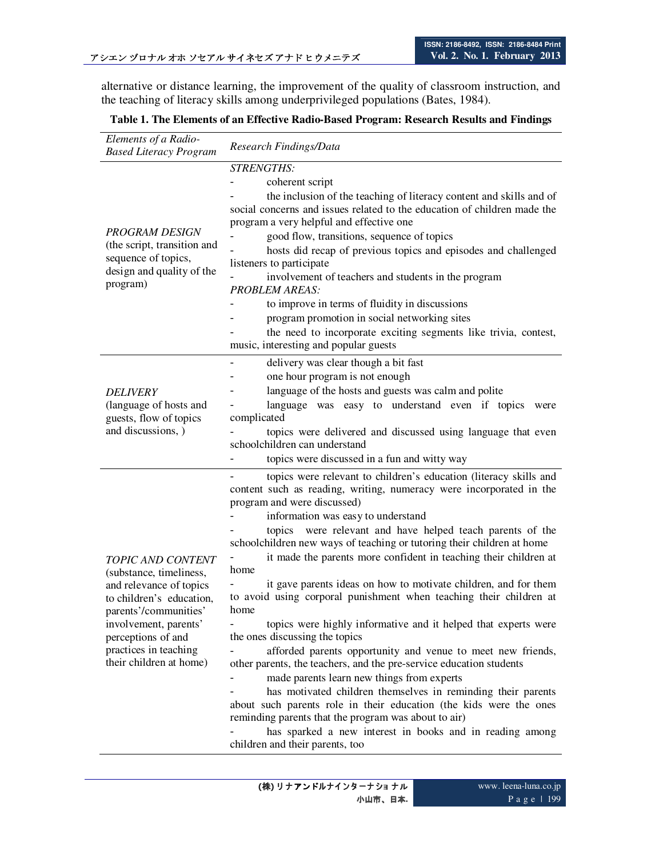alternative or distance learning, the improvement of the quality of classroom instruction, and the teaching of literacy skills among underprivileged populations (Bates, 1984).

## **Table 1. The Elements of an Effective Radio-Based Program: Research Results and Findings**

| Elements of a Radio-<br><b>Based Literacy Program</b>                                                                                                                                                                                  | Research Findings/Data                                                                                                                                                                                                                                                                                                                                                                                                                                                                                                                                                                                                                                                                                                                                                                                                                                                                                                                                                                                                                                                                                                                                                 |
|----------------------------------------------------------------------------------------------------------------------------------------------------------------------------------------------------------------------------------------|------------------------------------------------------------------------------------------------------------------------------------------------------------------------------------------------------------------------------------------------------------------------------------------------------------------------------------------------------------------------------------------------------------------------------------------------------------------------------------------------------------------------------------------------------------------------------------------------------------------------------------------------------------------------------------------------------------------------------------------------------------------------------------------------------------------------------------------------------------------------------------------------------------------------------------------------------------------------------------------------------------------------------------------------------------------------------------------------------------------------------------------------------------------------|
| <b>PROGRAM DESIGN</b><br>(the script, transition and<br>sequence of topics,<br>design and quality of the<br>program)                                                                                                                   | <b>STRENGTHS:</b><br>coherent script<br>the inclusion of the teaching of literacy content and skills and of<br>social concerns and issues related to the education of children made the<br>program a very helpful and effective one<br>good flow, transitions, sequence of topics<br>hosts did recap of previous topics and episodes and challenged<br>listeners to participate<br>involvement of teachers and students in the program<br><b>PROBLEM AREAS:</b><br>to improve in terms of fluidity in discussions<br>program promotion in social networking sites<br>the need to incorporate exciting segments like trivia, contest,<br>music, interesting and popular guests                                                                                                                                                                                                                                                                                                                                                                                                                                                                                          |
| <b>DELIVERY</b><br>(language of hosts and<br>guests, flow of topics<br>and discussions, )                                                                                                                                              | delivery was clear though a bit fast<br>one hour program is not enough<br>language of the hosts and guests was calm and polite<br>language was easy to understand even if topics<br>were<br>complicated<br>topics were delivered and discussed using language that even<br>schoolchildren can understand<br>topics were discussed in a fun and witty way                                                                                                                                                                                                                                                                                                                                                                                                                                                                                                                                                                                                                                                                                                                                                                                                               |
| <b>TOPIC AND CONTENT</b><br>(substance, timeliness,<br>and relevance of topics<br>to children's education,<br>parents'/communities'<br>involvement, parents'<br>perceptions of and<br>practices in teaching<br>their children at home) | topics were relevant to children's education (literacy skills and<br>content such as reading, writing, numeracy were incorporated in the<br>program and were discussed)<br>information was easy to understand<br>topics were relevant and have helped teach parents of the<br>schoolchildren new ways of teaching or tutoring their children at home<br>it made the parents more confident in teaching their children at<br>home<br>it gave parents ideas on how to motivate children, and for them<br>to avoid using corporal punishment when teaching their children at<br>home<br>topics were highly informative and it helped that experts were<br>the ones discussing the topics<br>afforded parents opportunity and venue to meet new friends,<br>other parents, the teachers, and the pre-service education students<br>made parents learn new things from experts<br>has motivated children themselves in reminding their parents<br>about such parents role in their education (the kids were the ones<br>reminding parents that the program was about to air)<br>has sparked a new interest in books and in reading among<br>children and their parents, too |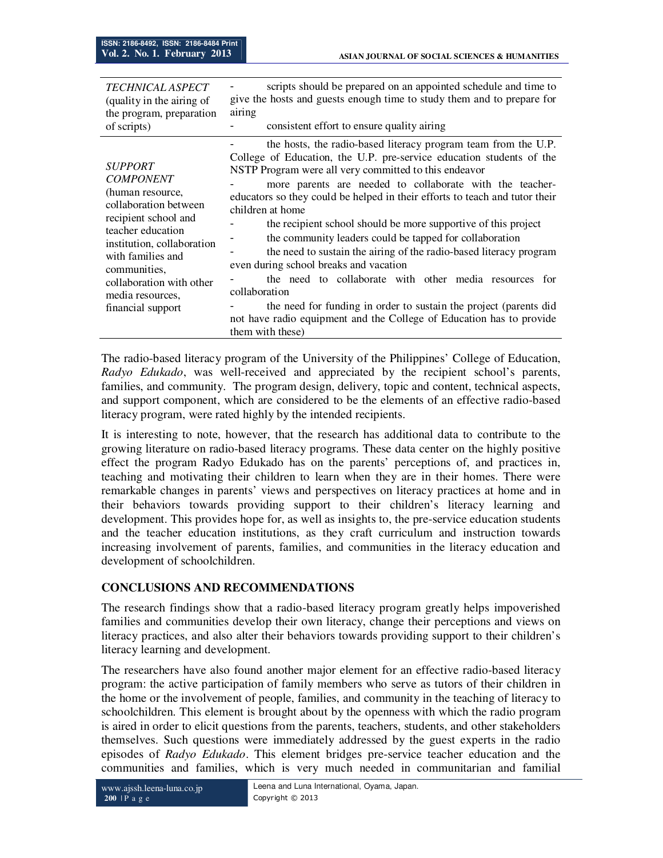| <b>TECHNICAL ASPECT</b>                                                                                                                                                                                                                                              | scripts should be prepared on an appointed schedule and time to                                                                                                                                                                                                                                                                                                                                                                                                                                                                                                                                                                                                                                                                                                                                                                                         |
|----------------------------------------------------------------------------------------------------------------------------------------------------------------------------------------------------------------------------------------------------------------------|---------------------------------------------------------------------------------------------------------------------------------------------------------------------------------------------------------------------------------------------------------------------------------------------------------------------------------------------------------------------------------------------------------------------------------------------------------------------------------------------------------------------------------------------------------------------------------------------------------------------------------------------------------------------------------------------------------------------------------------------------------------------------------------------------------------------------------------------------------|
| (quality in the airing of                                                                                                                                                                                                                                            | give the hosts and guests enough time to study them and to prepare for                                                                                                                                                                                                                                                                                                                                                                                                                                                                                                                                                                                                                                                                                                                                                                                  |
| the program, preparation                                                                                                                                                                                                                                             | airing                                                                                                                                                                                                                                                                                                                                                                                                                                                                                                                                                                                                                                                                                                                                                                                                                                                  |
| of scripts)                                                                                                                                                                                                                                                          | consistent effort to ensure quality airing                                                                                                                                                                                                                                                                                                                                                                                                                                                                                                                                                                                                                                                                                                                                                                                                              |
| <b>SUPPORT</b><br><b>COMPONENT</b><br>(human resource,<br>collaboration between<br>recipient school and<br>teacher education<br>institution, collaboration<br>with families and<br>communities.<br>collaboration with other<br>media resources,<br>financial support | the hosts, the radio-based literacy program team from the U.P.<br>College of Education, the U.P. pre-service education students of the<br>NSTP Program were all very committed to this endeavor<br>more parents are needed to collaborate with the teacher-<br>educators so they could be helped in their efforts to teach and tutor their<br>children at home<br>the recipient school should be more supportive of this project<br>the community leaders could be tapped for collaboration<br>the need to sustain the airing of the radio-based literacy program<br>even during school breaks and vacation<br>the need to collaborate with other media resources for<br>collaboration<br>the need for funding in order to sustain the project (parents did<br>not have radio equipment and the College of Education has to provide<br>them with these) |

The radio-based literacy program of the University of the Philippines' College of Education, *Radyo Edukado*, was well-received and appreciated by the recipient school's parents, families, and community. The program design, delivery, topic and content, technical aspects, and support component, which are considered to be the elements of an effective radio-based literacy program, were rated highly by the intended recipients.

It is interesting to note, however, that the research has additional data to contribute to the growing literature on radio-based literacy programs. These data center on the highly positive effect the program Radyo Edukado has on the parents' perceptions of, and practices in, teaching and motivating their children to learn when they are in their homes. There were remarkable changes in parents' views and perspectives on literacy practices at home and in their behaviors towards providing support to their children's literacy learning and development. This provides hope for, as well as insights to, the pre-service education students and the teacher education institutions, as they craft curriculum and instruction towards increasing involvement of parents, families, and communities in the literacy education and development of schoolchildren.

## **CONCLUSIONS AND RECOMMENDATIONS**

The research findings show that a radio-based literacy program greatly helps impoverished families and communities develop their own literacy, change their perceptions and views on literacy practices, and also alter their behaviors towards providing support to their children's literacy learning and development.

The researchers have also found another major element for an effective radio-based literacy program: the active participation of family members who serve as tutors of their children in the home or the involvement of people, families, and community in the teaching of literacy to schoolchildren. This element is brought about by the openness with which the radio program is aired in order to elicit questions from the parents, teachers, students, and other stakeholders themselves. Such questions were immediately addressed by the guest experts in the radio episodes of *Radyo Edukado*. This element bridges pre-service teacher education and the communities and families, which is very much needed in communitarian and familial